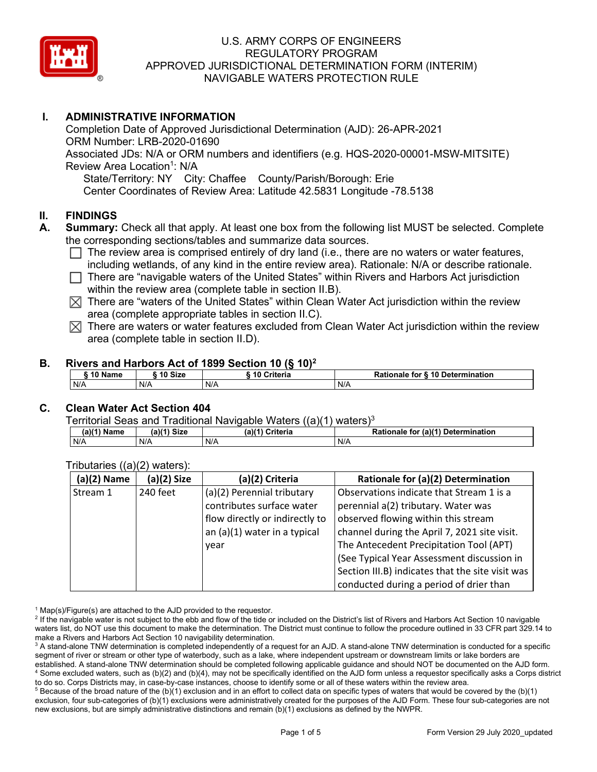

## **I. ADMINISTRATIVE INFORMATION**

Completion Date of Approved Jurisdictional Determination (AJD): 26-APR-2021 ORM Number: LRB-2020-01690 Associated JDs: N/A or ORM numbers and identifiers (e.g. HQS-2020-00001-MSW-MITSITE) Review Area Location<sup>1</sup>: N/A State/Territory: NY City: Chaffee County/Parish/Borough: Erie Center Coordinates of Review Area: Latitude 42.5831 Longitude -78.5138

### **II. FINDINGS**

- **A. Summary:** Check all that apply. At least one box from the following list MUST be selected. Complete the corresponding sections/tables and summarize data sources.
	- $\Box$  The review area is comprised entirely of dry land (i.e., there are no waters or water features, including wetlands, of any kind in the entire review area). Rationale: N/A or describe rationale.
	- $\Box$  There are "navigable waters of the United States" within Rivers and Harbors Act jurisdiction within the review area (complete table in section II.B).
	- $\boxtimes$  There are "waters of the United States" within Clean Water Act jurisdiction within the review area (complete appropriate tables in section II.C).
	- $\boxtimes$  There are waters or water features excluded from Clean Water Act jurisdiction within the review area (complete table in section II.D).

#### **B. Rivers and Harbors Act of 1899 Section 10 (§ 10)2**

| 10 Name<br>10 Size<br>Criteria<br>Rationale for § 10 Determination |  |  |  |  |  |
|--------------------------------------------------------------------|--|--|--|--|--|
| N/A<br>N/A<br>N/A<br>N/A                                           |  |  |  |  |  |

## **C. Clean Water Act Section 404**

Territorial Seas and Traditional Navigable Waters  $((a)(1)$  waters)<sup>3</sup>

| (a)(1) Name | (a)(1) Size | $(a)$ <sup><math>\prime</math></sup><br>1) Criteria | (a)(1) Determination<br><b>Rationale</b><br>for |
|-------------|-------------|-----------------------------------------------------|-------------------------------------------------|
| N/A         | N/A         | N/A                                                 | $N/\ell$                                        |

| $(a)(2)$ Name | (a)(2) Size | (a)(2) Criteria                | Rationale for (a)(2) Determination               |
|---------------|-------------|--------------------------------|--------------------------------------------------|
| Stream 1      | 240 feet    | (a)(2) Perennial tributary     | Observations indicate that Stream 1 is a         |
|               |             | contributes surface water      | perennial a(2) tributary. Water was              |
|               |             | flow directly or indirectly to | observed flowing within this stream              |
|               |             | an (a)(1) water in a typical   | channel during the April 7, 2021 site visit.     |
|               |             | vear                           | The Antecedent Precipitation Tool (APT)          |
|               |             |                                | (See Typical Year Assessment discussion in       |
|               |             |                                | Section III.B) indicates that the site visit was |
|               |             |                                | conducted during a period of drier than          |

#### Tributaries ((a)(2) waters):

 $1$  Map(s)/Figure(s) are attached to the AJD provided to the requestor.

 $5$  Because of the broad nature of the (b)(1) exclusion and in an effort to collect data on specific types of waters that would be covered by the (b)(1) exclusion, four sub-categories of (b)(1) exclusions were administratively created for the purposes of the AJD Form. These four sub-categories are not new exclusions, but are simply administrative distinctions and remain (b)(1) exclusions as defined by the NWPR.

<sup>&</sup>lt;sup>2</sup> If the navigable water is not subject to the ebb and flow of the tide or included on the District's list of Rivers and Harbors Act Section 10 navigable waters list, do NOT use this document to make the determination. The District must continue to follow the procedure outlined in 33 CFR part 329.14 to make a Rivers and Harbors Act Section 10 navigability determination.

<sup>&</sup>lt;sup>3</sup> A stand-alone TNW determination is completed independently of a request for an AJD. A stand-alone TNW determination is conducted for a specific segment of river or stream or other type of waterbody, such as a lake, where independent upstream or downstream limits or lake borders are established. A stand-alone TNW determination should be completed following applicable guidance and should NOT be documented on the AJD form. <sup>4</sup> Some excluded waters, such as (b)(2) and (b)(4), may not be specifically identified on the AJD form unless a requestor specifically asks a Corps district to do so. Corps Districts may, in case-by-case instances, choose to identify some or all of these waters within the review area.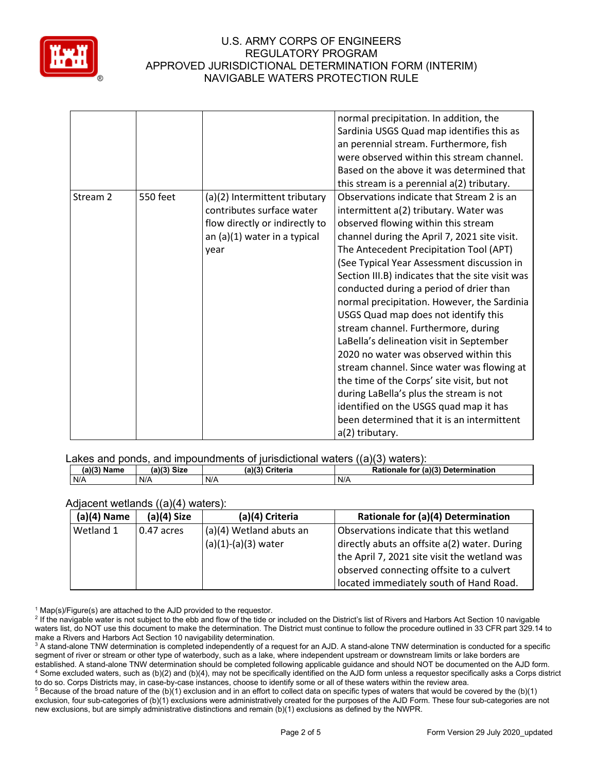

|          |                 |                                                                                                                                        | normal precipitation. In addition, the<br>Sardinia USGS Quad map identifies this as<br>an perennial stream. Furthermore, fish<br>were observed within this stream channel.<br>Based on the above it was determined that<br>this stream is a perennial a(2) tributary.                                                                                                                                                                                                                                                                                                                                                                                                                                                                                                                                                                    |
|----------|-----------------|----------------------------------------------------------------------------------------------------------------------------------------|------------------------------------------------------------------------------------------------------------------------------------------------------------------------------------------------------------------------------------------------------------------------------------------------------------------------------------------------------------------------------------------------------------------------------------------------------------------------------------------------------------------------------------------------------------------------------------------------------------------------------------------------------------------------------------------------------------------------------------------------------------------------------------------------------------------------------------------|
| Stream 2 | <b>550 feet</b> | (a)(2) Intermittent tributary<br>contributes surface water<br>flow directly or indirectly to<br>an $(a)(1)$ water in a typical<br>year | Observations indicate that Stream 2 is an<br>intermittent a(2) tributary. Water was<br>observed flowing within this stream<br>channel during the April 7, 2021 site visit.<br>The Antecedent Precipitation Tool (APT)<br>(See Typical Year Assessment discussion in<br>Section III.B) indicates that the site visit was<br>conducted during a period of drier than<br>normal precipitation. However, the Sardinia<br>USGS Quad map does not identify this<br>stream channel. Furthermore, during<br>LaBella's delineation visit in September<br>2020 no water was observed within this<br>stream channel. Since water was flowing at<br>the time of the Corps' site visit, but not<br>during LaBella's plus the stream is not<br>identified on the USGS quad map it has<br>been determined that it is an intermittent<br>a(2) tributary. |

### Lakes and ponds, and impoundments of iurisdictional waters ((a)(3) waters):

| (a)(3)<br>∘ Name | (a)(3) Size |     | (a)(3) Criteria | Rationale for (a)(3) Determination |  |
|------------------|-------------|-----|-----------------|------------------------------------|--|
| N/A              | N/A         | N/A |                 | N/A                                |  |

#### Adjacent wetlands ((a)(4) waters):

| $(a)(4)$ Name | $(a)(4)$ Size | (a)(4) Criteria         | Rationale for (a)(4) Determination           |
|---------------|---------------|-------------------------|----------------------------------------------|
| Wetland 1     | $0.47$ acres  | (a)(4) Wetland abuts an | Observations indicate that this wetland      |
|               |               | $(a)(1)-(a)(3)$ water   | directly abuts an offsite a(2) water. During |
|               |               |                         | the April 7, 2021 site visit the wetland was |
|               |               |                         | observed connecting offsite to a culvert     |
|               |               |                         | located immediately south of Hand Road.      |

 $1$  Map(s)/Figure(s) are attached to the AJD provided to the requestor.

<sup>5</sup> Because of the broad nature of the (b)(1) exclusion and in an effort to collect data on specific types of waters that would be covered by the (b)(1) exclusion, four sub-categories of (b)(1) exclusions were administratively created for the purposes of the AJD Form. These four sub-categories are not new exclusions, but are simply administrative distinctions and remain (b)(1) exclusions as defined by the NWPR.

<sup>&</sup>lt;sup>2</sup> If the navigable water is not subject to the ebb and flow of the tide or included on the District's list of Rivers and Harbors Act Section 10 navigable waters list, do NOT use this document to make the determination. The District must continue to follow the procedure outlined in 33 CFR part 329.14 to make a Rivers and Harbors Act Section 10 navigability determination.

<sup>&</sup>lt;sup>3</sup> A stand-alone TNW determination is completed independently of a request for an AJD. A stand-alone TNW determination is conducted for a specific segment of river or stream or other type of waterbody, such as a lake, where independent upstream or downstream limits or lake borders are established. A stand-alone TNW determination should be completed following applicable guidance and should NOT be documented on the AJD form. <sup>4</sup> Some excluded waters, such as (b)(2) and (b)(4), may not be specifically identified on the AJD form unless a requestor specifically asks a Corps district to do so. Corps Districts may, in case-by-case instances, choose to identify some or all of these waters within the review area.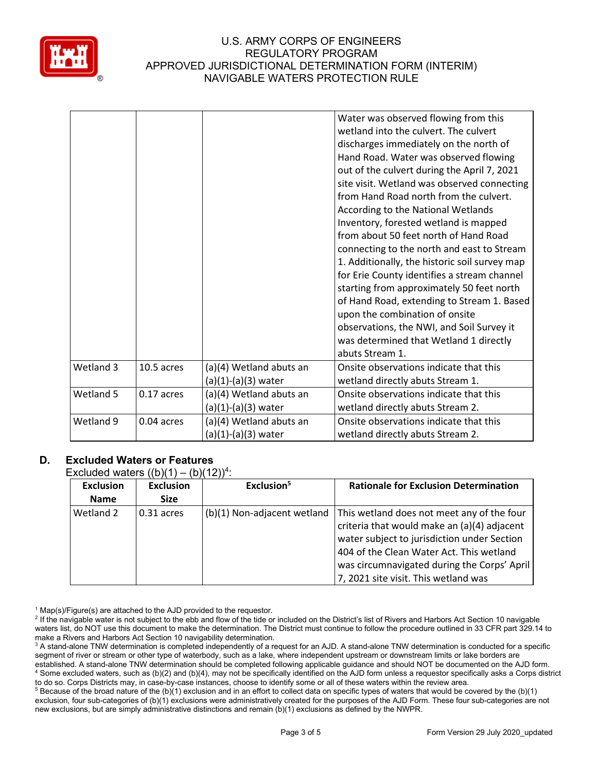

|           |            |                                                  | Water was observed flowing from this<br>wetland into the culvert. The culvert<br>discharges immediately on the north of<br>Hand Road. Water was observed flowing<br>out of the culvert during the April 7, 2021<br>site visit. Wetland was observed connecting<br>from Hand Road north from the culvert.<br>According to the National Wetlands<br>Inventory, forested wetland is mapped<br>from about 50 feet north of Hand Road<br>connecting to the north and east to Stream<br>1. Additionally, the historic soil survey map<br>for Erie County identifies a stream channel<br>starting from approximately 50 feet north<br>of Hand Road, extending to Stream 1. Based<br>upon the combination of onsite<br>observations, the NWI, and Soil Survey it<br>was determined that Wetland 1 directly |
|-----------|------------|--------------------------------------------------|----------------------------------------------------------------------------------------------------------------------------------------------------------------------------------------------------------------------------------------------------------------------------------------------------------------------------------------------------------------------------------------------------------------------------------------------------------------------------------------------------------------------------------------------------------------------------------------------------------------------------------------------------------------------------------------------------------------------------------------------------------------------------------------------------|
| Wetland 3 | 10.5 acres |                                                  | abuts Stream 1.<br>Onsite observations indicate that this                                                                                                                                                                                                                                                                                                                                                                                                                                                                                                                                                                                                                                                                                                                                          |
|           |            | (a)(4) Wetland abuts an<br>(a)(1)-(a)(3) water   | wetland directly abuts Stream 1.                                                                                                                                                                                                                                                                                                                                                                                                                                                                                                                                                                                                                                                                                                                                                                   |
| Wetland 5 | 0.17 acres | (a)(4) Wetland abuts an<br>(a)(1)-(a)(3) water   | Onsite observations indicate that this<br>wetland directly abuts Stream 2.                                                                                                                                                                                                                                                                                                                                                                                                                                                                                                                                                                                                                                                                                                                         |
| Wetland 9 | 0.04 acres | (a)(4) Wetland abuts an<br>$(a)(1)-(a)(3)$ water | Onsite observations indicate that this<br>wetland directly abuts Stream 2.                                                                                                                                                                                                                                                                                                                                                                                                                                                                                                                                                                                                                                                                                                                         |
|           |            |                                                  |                                                                                                                                                                                                                                                                                                                                                                                                                                                                                                                                                                                                                                                                                                                                                                                                    |

# **D. Excluded Waters or Features**

Excluded waters  $((b)(1) - (b)(12))^4$ :

| <b>Exclusion</b> | <b>Exclusion</b> | Exclusion <sup>5</sup>      | <b>Rationale for Exclusion Determination</b>                                                                                                                                                                                                                                |
|------------------|------------------|-----------------------------|-----------------------------------------------------------------------------------------------------------------------------------------------------------------------------------------------------------------------------------------------------------------------------|
| <b>Name</b>      | <b>Size</b>      |                             |                                                                                                                                                                                                                                                                             |
| l Wetland 2      | 0.31 acres       | (b)(1) Non-adjacent wetland | This wetland does not meet any of the four<br>criteria that would make an (a)(4) adjacent<br>water subject to jurisdiction under Section<br>404 of the Clean Water Act. This wetland<br>was circumnavigated during the Corps' April<br>7, 2021 site visit. This wetland was |

 $1$  Map(s)/Figure(s) are attached to the AJD provided to the requestor.

<sup>2</sup> If the navigable water is not subject to the ebb and flow of the tide or included on the District's list of Rivers and Harbors Act Section 10 navigable waters list, do NOT use this document to make the determination. The District must continue to follow the procedure outlined in 33 CFR part 329.14 to make a Rivers and Harbors Act Section 10 navigability determination.

<sup>3</sup> A stand-alone TNW determination is completed independently of a request for an AJD. A stand-alone TNW determination is conducted for a specific segment of river or stream or other type of waterbody, such as a lake, where independent upstream or downstream limits or lake borders are established. A stand-alone TNW determination should be completed following applicable guidance and should NOT be documented on the AJD form. <sup>4</sup> Some excluded waters, such as (b)(2) and (b)(4), may not be specifically identified on the AJD form unless a requestor specifically asks a Corps district to do so. Corps Districts may, in case-by-case instances, choose to identify some or all of these waters within the review area.

<sup>5</sup> Because of the broad nature of the (b)(1) exclusion and in an effort to collect data on specific types of waters that would be covered by the (b)(1) exclusion, four sub-categories of (b)(1) exclusions were administratively created for the purposes of the AJD Form. These four sub-categories are not new exclusions, but are simply administrative distinctions and remain (b)(1) exclusions as defined by the NWPR.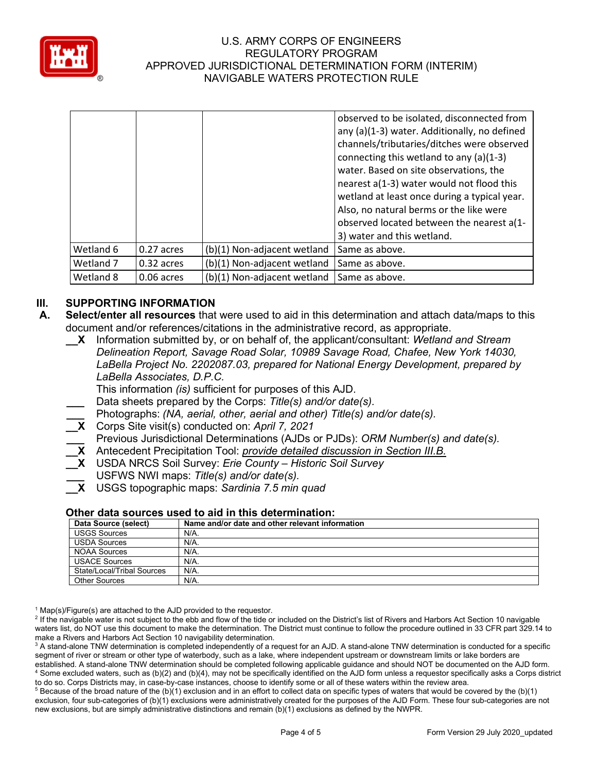

|           |            |                             | observed to be isolated, disconnected from<br>any (a)(1-3) water. Additionally, no defined<br>channels/tributaries/ditches were observed<br>connecting this wetland to any (a)(1-3)<br>water. Based on site observations, the<br>nearest a(1-3) water would not flood this<br>wetland at least once during a typical year.<br>Also, no natural berms or the like were<br>observed located between the nearest a(1-<br>3) water and this wetland. |
|-----------|------------|-----------------------------|--------------------------------------------------------------------------------------------------------------------------------------------------------------------------------------------------------------------------------------------------------------------------------------------------------------------------------------------------------------------------------------------------------------------------------------------------|
| Wetland 6 | 0.27 acres | (b)(1) Non-adjacent wetland | Same as above.                                                                                                                                                                                                                                                                                                                                                                                                                                   |
| Wetland 7 | 0.32 acres | (b)(1) Non-adjacent wetland | Same as above.                                                                                                                                                                                                                                                                                                                                                                                                                                   |
| Wetland 8 | 0.06 acres | (b)(1) Non-adjacent wetland | Same as above.                                                                                                                                                                                                                                                                                                                                                                                                                                   |

## **III. SUPPORTING INFORMATION**

- **A. Select/enter all resources** that were used to aid in this determination and attach data/maps to this document and/or references/citations in the administrative record, as appropriate.
	- **\_\_X** Information submitted by, or on behalf of, the applicant/consultant: *Wetland and Stream Delineation Report, Savage Road Solar, 10989 Savage Road, Chafee, New York 14030, LaBella Project No. 2202087.03, prepared for National Energy Development, prepared by LaBella Associates, D.P.C.*

This information *(is)* sufficient for purposes of this AJD.

- **\_\_\_** Data sheets prepared by the Corps: *Title(s) and/or date(s).*
- **\_\_\_** Photographs: *(NA, aerial, other, aerial and other) Title(s) and/or date(s).*
- **\_\_X** Corps Site visit(s) conducted on: *April 7, 2021*
- **\_\_\_** Previous Jurisdictional Determinations (AJDs or PJDs): *ORM Number(s) and date(s).*
- **\_\_X** Antecedent Precipitation Tool: *provide detailed discussion in Section III.B.*
- **\_\_X** USDA NRCS Soil Survey: *Erie County – Historic Soil Survey*
- **\_\_\_** USFWS NWI maps: *Title(s) and/or date(s).*
- **\_\_X** USGS topographic maps: *Sardinia 7.5 min quad*

#### **Other data sources used to aid in this determination:**

| Data Source (select)       | Name and/or date and other relevant information |
|----------------------------|-------------------------------------------------|
| <b>USGS Sources</b>        | N/A.                                            |
| <b>USDA Sources</b>        | N/A.                                            |
| <b>NOAA Sources</b>        | N/A.                                            |
| <b>USACE Sources</b>       | N/A.                                            |
| State/Local/Tribal Sources | N/A.                                            |
| Other Sources              | $N/A$ .                                         |

 $1$  Map(s)/Figure(s) are attached to the AJD provided to the requestor.

<sup>2</sup> If the navigable water is not subject to the ebb and flow of the tide or included on the District's list of Rivers and Harbors Act Section 10 navigable waters list, do NOT use this document to make the determination. The District must continue to follow the procedure outlined in 33 CFR part 329.14 to make a Rivers and Harbors Act Section 10 navigability determination.

<sup>3</sup> A stand-alone TNW determination is completed independently of a request for an AJD. A stand-alone TNW determination is conducted for a specific segment of river or stream or other type of waterbody, such as a lake, where independent upstream or downstream limits or lake borders are established. A stand-alone TNW determination should be completed following applicable guidance and should NOT be documented on the AJD form. <sup>4</sup> Some excluded waters, such as (b)(2) and (b)(4), may not be specifically identified on the AJD form unless a requestor specifically asks a Corps district to do so. Corps Districts may, in case-by-case instances, choose to identify some or all of these waters within the review area.

 $5$  Because of the broad nature of the (b)(1) exclusion and in an effort to collect data on specific types of waters that would be covered by the (b)(1) exclusion, four sub-categories of (b)(1) exclusions were administratively created for the purposes of the AJD Form. These four sub-categories are not new exclusions, but are simply administrative distinctions and remain (b)(1) exclusions as defined by the NWPR.